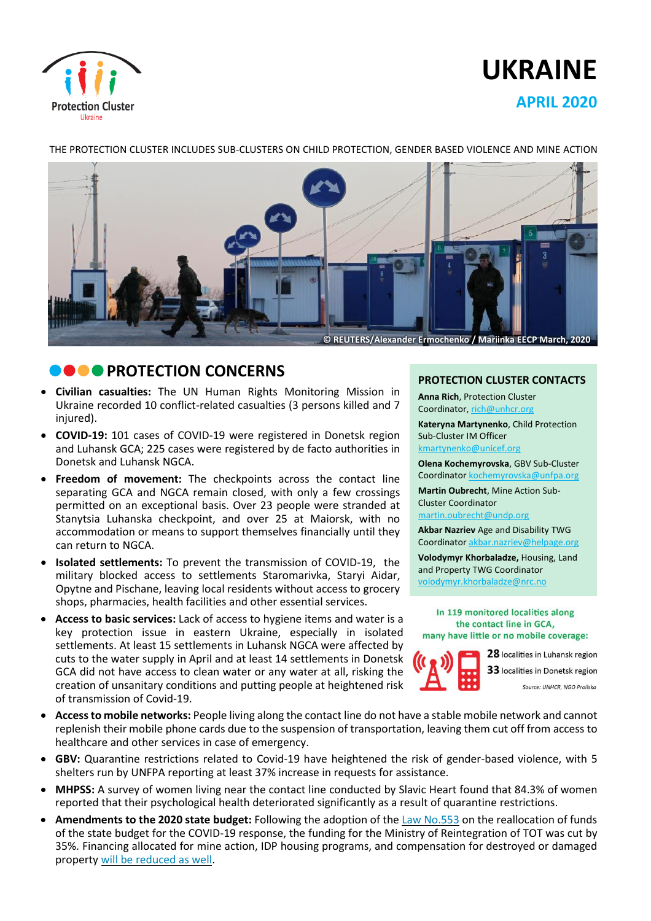

# **UKRAINE APRIL 2020**

THE PROTECTION CLUSTER INCLUDES SUB-CLUSTERS ON CHILD PROTECTION, GENDER BASED VIOLENCE AND MINE ACTION



## **PO PROTECTION CONCERNS**

- **Civilian casualties:** The UN Human Rights Monitoring Mission in Ukraine recorded 10 conflict-related casualties (3 persons killed and 7 injured).
- **COVID-19:** 101 cases of COVID-19 were registered in Donetsk region and Luhansk GCA; 225 cases were registered by de facto authorities in Donetsk and Luhansk NGCA.
- **Freedom of movement:** The checkpoints across the contact line separating GCA and NGCA remain closed, with only a few crossings permitted on an exceptional basis. Over 23 people were stranded at Stanytsia Luhanska checkpoint, and over 25 at Maiorsk, with no accommodation or means to support themselves financially until they can return to NGCA.
- **Isolated settlements:** To prevent the transmission of COVID-19, the military blocked access to settlements Staromarivka, Staryi Aidar, Opytne and Pischane, leaving local residents without access to grocery shops, pharmacies, health facilities and other essential services.
- **Access to basic services:** Lack of access to hygiene items and water is a key protection issue in eastern Ukraine, especially in isolated settlements. At least 15 settlements in Luhansk NGCA were affected by cuts to the water supply in April and at least 14 settlements in Donetsk GCA did not have access to clean water or any water at all, risking the creation of unsanitary conditions and putting people at heightened risk of transmission of Covid-19.

#### **PROTECTION CLUSTER CONTACTS**

**Anna Rich**, Protection Cluster Coordinator, [rich@unhcr.org](mailto:rich@unhcr.org) **Kateryna Martynenko**, Child Protection Sub-Cluster IM Officer kmartynenko@unicef.org

**Olena Kochemyrovska**, GBV Sub-Cluster Coordinator [kochemyrovska@unfpa.org](mailto:kristesashvili@unfpa.org)

**Martin Oubrecht**, Mine Action Sub-Cluster Coordinator

[martin.oubrecht@undp.org](mailto:martin.oubrecht@undp.org)

**Akbar Nazriev** Age and Disability TWG Coordinator akbar.nazriev@helpage.org

**Volodymyr Khorbaladze,** Housing, Land and Property TWG Coordinator [volodymyr.khorbaladze@nrc.no](mailto:volodymyr.khorbaladze@nrc.no)

In 119 monitored localities along the contact line in GCA, many have little or no mobile coverage:



28 localities in Luhansk region 33 localities in Donetsk region Source: UNHCR, NGO Proliska

- **Accessto mobile networks:** People living along the contact line do not have a stable mobile network and cannot replenish their mobile phone cards due to the suspension of transportation, leaving them cut off from access to healthcare and other services in case of emergency.
- **GBV:** Quarantine restrictions related to Covid-19 have heightened the risk of gender-based violence, with 5 shelters run by UNFPA reporting at least 37% increase in requests for assistance.
- **MHPSS:** A survey of women living near the contact line conducted by Slavic Heart found that 84.3% of women reported that their psychological health deteriorated significantly as a result of quarantine restrictions.
- **Amendments to the 2020 state budget:** Following the adoption of the Law [No.553](https://zakon.rada.gov.ua/laws/show/553-IX) on the reallocation of funds of the state budget for the COVID-19 response, the funding for the Ministry of Reintegration of TOT was cut by 35%. Financing allocated for mine action, IDP housing programs, and compensation for destroyed or damaged property will be [reduced](https://www.humanitarianresponse.info/en/operations/ukraine/document/drc-ddg-legal-alert-april-2020-drc-ddg-%D0%BF%D1%80%D0%B0%D0%B2%D0%BE%D0%B2%D0%B8%D0%B9-%D0%B1%D1%8E%D0%BB%D0%B5%D1%82%D0%B5%D0%BD%D1%8C-%D0%BA%D0%B2%D1%96%D1%82%D0%B5%D0%BD%D1%8C-2020) as well.